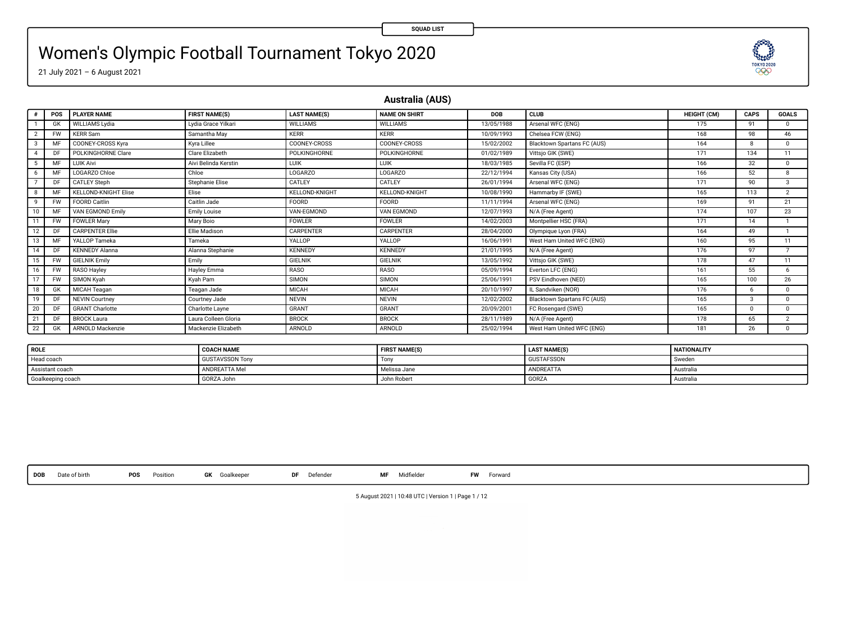### Women's Olympic Football Tournament Tokyo 2020

21 July 2021 – 6 August 2021

**Australia (AUS)**

**SQUAD LIST**

83

|              | POS       | <b>PLAYER NAME</b>          | <b>FIRST NAME(S)</b> | <b>LAST NAME(S)</b>   | <b>NAME ON SHIRT</b>  | <b>DOB</b> | <b>CLUB</b>                 | <b>HEIGHT (CM)</b> | CAPS         | GOALS                    |
|--------------|-----------|-----------------------------|----------------------|-----------------------|-----------------------|------------|-----------------------------|--------------------|--------------|--------------------------|
|              | GK        | WILLIAMS Lydia              | Lydia Grace Yilkari  | <b>WILLIAMS</b>       | <b>WILLIAMS</b>       | 13/05/1988 | Arsenal WFC (ENG)           | 175                | 91           | $\Omega$                 |
|              | <b>FW</b> | <b>KERR Sam</b>             | Samantha May         | <b>KERR</b>           | <b>KERR</b>           | 10/09/1993 | Chelsea FCW (ENG)           | 168                | 98           | 46                       |
|              | M         | <b>COONEY-CROSS Kyra</b>    | Kyra Lillee          | COONEY-CROSS          | COONEY-CROSS          | 15/02/2002 | Blacktown Spartans FC (AUS) | 164                | R            | $^{\circ}$               |
|              | DF        | POLKINGHORNE Clare          | Clare Elizabeth      | POLKINGHORNE          | <b>POLKINGHORNE</b>   | 01/02/1989 | Vittsjo GIK (SWE)           | 171                | 134          | 11                       |
|              | MF        | <b>LUIK Aivi</b>            | Aivi Belinda Kerstin | LUIK                  | LUIK                  | 18/03/1985 | Sevilla FC (ESP)            | 166                | 32           | $^{\circ}$               |
|              | M         | LOGARZO Chloe               | Chloe                | LOGARZO               | <b>LOGARZO</b>        | 22/12/1994 | Kansas City (USA)           | 166                | 52           | $\Omega$                 |
|              | DE        | CATLEY Steph                | Stephanie Elise      | CATLEY                | CATLEY                | 26/01/1994 | Arsenal WFC (ENG)           | 171                | 90           | $\mathcal{R}$            |
|              | м         | <b>KELLOND-KNIGHT Elise</b> | Elise                | <b>KELLOND-KNIGHT</b> | <b>KELLOND-KNIGHT</b> | 10/08/1990 | Hammarby IF (SWE)           | 165                | 113          | 7                        |
| $\mathbf{Q}$ | <b>FW</b> | FOORD Caitlin               | Caitlin Jade         | FOORD                 | FOORD                 | 11/11/1994 | Arsenal WFC (ENG)           | 169                | 91           | 21                       |
| 10           | M         | VAN EGMOND Emily            | Emily Louise         | VAN-EGMOND            | VAN EGMOND            | 12/07/1993 | N/A (Free Agent)            | 174                | 107          | 23                       |
|              | <b>FW</b> | <b>FOWLER Mary</b>          | Mary Boio            | <b>FOWLER</b>         | <b>FOWLER</b>         | 14/02/2003 | Montpellier HSC (FRA)       | 171                | 14           |                          |
|              | DF        | <b>CARPENTER Ellie</b>      | Ellie Madison        | CARPENTER             | <b>CARPENTER</b>      | 28/04/2000 | Olympique Lyon (FRA)        | 164                | 49           |                          |
|              | M         | YALLOP Tameka               | Tameka               | YALLOP                | YALLOP                | 16/06/1991 | West Ham United WFC (ENG)   | 160                | 95           | 11                       |
|              | DF        | <b>KENNEDY Alanna</b>       | Alanna Stephanie     | <b>KENNEDY</b>        | <b>KENNEDY</b>        | 21/01/1995 | N/A (Free Agent)            | 176                | 97           | $\overline{\phantom{a}}$ |
| 15           | <b>FW</b> | <b>GIELNIK Emily</b>        | Emily                | <b>GIELNIK</b>        | <b>GIELNIK</b>        | 13/05/1992 | Vittsjo GIK (SWE)           | 178                | 47           | 11                       |
| 16           | <b>FW</b> | RASO Hayley                 | Hayley Emma          | <b>RASO</b>           | RASO                  | 05/09/1994 | Everton LFC (ENG)           | 161                | 55           | 6                        |
|              | <b>FW</b> | SIMON Kyah                  | Kyah Pam             | SIMON                 | SIMON                 | 25/06/1991 | PSV Eindhoven (NED)         | 165                | 100          | 26                       |
| 18           | GK        | MICAH Teagan                | Teagan Jade          | <b>MICAH</b>          | MICAH                 | 20/10/1997 | L Sandviken (NOR)           | 176                | 6            | $\Omega$                 |
| 19           | DF        | <b>NEVIN Courtney</b>       | Courtney Jade        | <b>NEVIN</b>          | <b>NEVIN</b>          | 12/02/2002 | Blacktown Spartans FC (AUS) | 165                | 3            | $\Omega$                 |
| 20           | DF        | <b>GRANT Charlotte</b>      | Charlotte Layne      | GRANT                 | <b>GRANT</b>          | 20/09/2001 | FC Rosengard (SWE)          | 165                | $\mathbf{0}$ | $\Omega$                 |
| 21           | DF        | <b>BROCK Laura</b>          | Laura Colleen Gloria | <b>BROCK</b>          | <b>BROCK</b>          | 28/11/1989 | N/A (Free Agent)            | 178                | 65           | $\overline{2}$           |
| 22           | GK        | <b>ARNOLD Mackenzie</b>     | Mackenzie Elizabeth  | ARNOLD                | ARNOLD                | 25/02/1994 | West Ham United WFC (ENG)   | 181                | 26           | $^{\circ}$               |

| ROLE              | <b>COACH NAME</b>      | <b>FIRST NAME(S)</b> | <b>LAST NAME(S)</b> | <b>NATIONALITY</b> |
|-------------------|------------------------|----------------------|---------------------|--------------------|
| Head coach        | <b>GUSTAVSSON Tony</b> | Ton                  | <b>GUSTAFSSON</b>   | Sweden             |
| Assistant coach   | ANDREATTA Mel          | Melissa Jane         | ANDREATTA           | Australia          |
| Goalkeeping coach | GORZA John             | John Robert          | <b>GORZA</b>        | Australia          |

**DOB** Date of birth **POS** Position **GK** Goalkeeper **DF** Defender **MF** Midelder **FW** Forward

5 August 2021 | 10:48 UTC | Version 1 | Page 1 / 12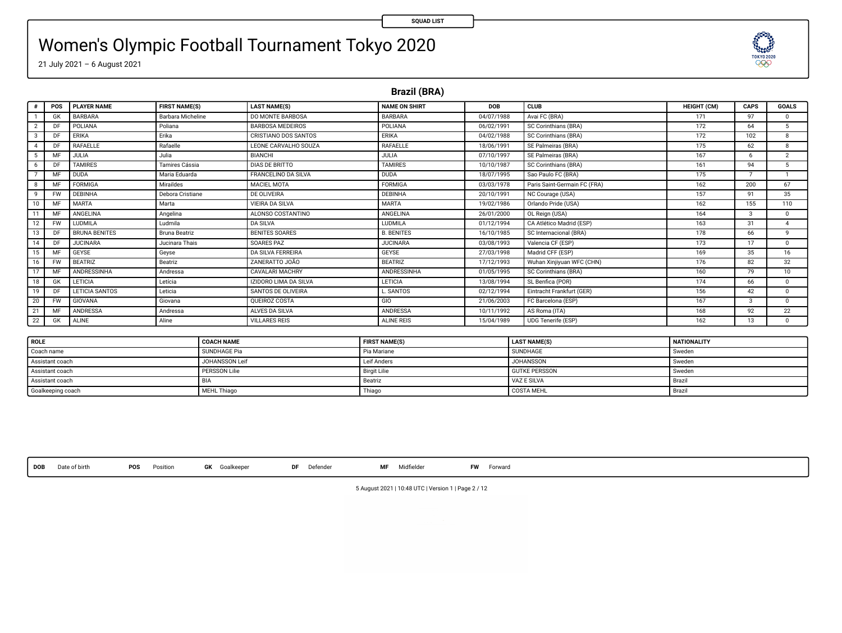**TESTORY** 

# Women's Olympic Football Tournament Tokyo 2020

21 July 2021 – 6 August 2021

**Brazil (BRA)**

|               | POS       | <b>PLAYER NAME</b>   | <b>FIRST NAME(S)</b>     | <b>LAST NAME(S)</b>          | <b>NAME ON SHIRT</b> | DOB        | CLUB                         | <b>HEIGHT (CM)</b> | CAPS          | <b>GOALS</b>            |
|---------------|-----------|----------------------|--------------------------|------------------------------|----------------------|------------|------------------------------|--------------------|---------------|-------------------------|
|               | GK        | BARBARA              | <b>Barbara Micheline</b> | DO MONTE BARBOSA             | RARRARA              | 04/07/1988 | Avai FC (BRA)                | 171                | 97            | $\Omega$                |
|               | DF        | POLIANA              | Poliana                  | <b>BARBOSA MEDEIROS</b>      | POLIANA              | 06/02/1991 | SC Corinthians (BRA)         | 172                | 64            | $\overline{\mathbf{s}}$ |
| $\mathcal{R}$ | DF        | ERIKA                | Erika                    | CRISTIANO DOS SANTOS         | ERIKA                | 04/02/1988 | SC Corinthians (BRA)         | 172                | 102           | $\mathbf{R}$            |
|               | DF        | RAFAELLE             | Rafaelle                 | LEONE CARVALHO SOUZA         | RAFAELLE             | 18/06/1991 | SE Palmeiras (BRA)           | 175                | 62            | $\mathbf{R}$            |
|               | MF        | <b>JULIA</b>         | Julia                    | BIANCHI                      | JULIA                | 07/10/1997 | SE Palmeiras (BRA)           | 167                | 6             | $\overline{2}$          |
|               | DE        | <b>TAMIRES</b>       | Tamires Cássia           | <b>DIAS DE BRITTO</b>        | <b>TAMIRES</b>       | 10/10/1987 | SC Corinthians (BRA)         | 161                | 94            | 5                       |
|               | MF        | <b>DUDA</b>          | Maria Eduarda            | FRANCELINO DA SILVA          | <b>DUDA</b>          | 18/07/1995 | Sao Paulo FC (BRA)           | 175                |               |                         |
|               | MF        | FORMIGA              | Miraildes                | MACIFI MOTA                  | <b>FORMIGA</b>       | 03/03/1978 | Paris Saint-Germain FC (FRA) | 162                | 200           | 67                      |
| $\mathbf{Q}$  | <b>FW</b> | DEBINHA              | Debora Cristiane         | DE OLIVEIRA                  | <b>DEBINHA</b>       | 20/10/1991 | NC Courage (USA)             | 157                | 91            | 35                      |
| 10            | MF        | <b>MARTA</b>         | Marta                    | <b>VIEIRA DA SILVA</b>       | <b>MARTA</b>         | 19/02/1986 | Orlando Pride (USA)          | 162                | 155           | 110                     |
|               | MF        | ANGELINA             | Angelina                 | ALONSO COSTANTINO            | ANGELINA             | 26/01/2000 | OL Reign (USA)               | 164                | $\mathcal{R}$ | $\Omega$                |
| 12            | <b>FW</b> | LUDMILA              | Ludmila                  | <b>DA SILVA</b>              | <b>LUDMILA</b>       | 01/12/1994 | CA Atlético Madrid (ESP)     | 163                | 31            | $\overline{A}$          |
| 13            | DF        | <b>BRUNA BENITES</b> | Bruna Beatriz            | <b>BENITES SOARES</b>        | <b>B. BENITES</b>    | 16/10/1985 | SC Internacional (BRA)       | 178                | 66            | $\mathbf{Q}$            |
| 14            | DE        | <b>JUCINARA</b>      | Jucinara Thais           | SOARES PAZ                   | <b>JUCINARA</b>      | 03/08/1993 | Valencia CF (ESP)            | 173                | 17            | $\Omega$                |
| 15            | MF        | GEYSE                | Geyse                    | DA SILVA FERREIRA            | GEYSE                | 27/03/1998 | Madrid CFF (ESP)             | 169                | 35            | 16                      |
| 16            | <b>FW</b> | <b>BEATRIZ</b>       | Beatriz                  | ZANERATTO JOÃO               | <b>BEATRIZ</b>       | 17/12/1993 | Wuhan Xiniiyuan WFC (CHN)    | 176                | 82            | 32                      |
| 17            | MF        | ANDRESSINHA          | Andressa                 | <b>CAVALARI MACHRY</b>       | ANDRESSINHA          | 01/05/1995 | SC Corinthians (BRA)         | 160                | 79            | 10                      |
| 18            | GK        | LETICIA              | Letícia                  | <b>IZIDORO LIMA DA SILVA</b> | LETICIA              | 13/08/1994 | SL Benfica (POR)             | 174                | 66            | $\Omega$                |
| 19            | DF        | LETICIA SANTOS       | Leticia                  | SANTOS DE OLIVEIRA           | L SANTOS             | 02/12/1994 | Eintracht Frankfurt (GER)    | 156                | 42            | $\Omega$                |
| 20            | <b>FW</b> | GIOVANA              | Giovana                  | OUEIROZ COSTA                | GIO                  | 21/06/2003 | FC Barcelona (ESP)           | 167                | $\mathcal{R}$ | $\Omega$                |
| 21            | MF        | ANDRESSA             | Andressa                 | ALVES DA SILVA               | <b>ANDRESSA</b>      | 10/11/1992 | AS Roma (ITA)                | 168                | 92            | 22                      |
| 22            | GK        | ALINE                | Aline                    | VILLARES REIS                | ALINE REIS           | 15/04/1989 | <b>UDG Tenerife (ESP)</b>    | 162                | 13            | $\Omega$                |
|               |           |                      |                          |                              |                      |            |                              |                    |               |                         |
| $\sqrt{2}$    |           |                      | 00101111110              |                              | FIRST HANDLEIN       |            | 1.4071111700                 | ASA WARRANT PENT   |               |                         |

| <b>ROLE</b>       | <b>COACH NAME</b>   | <b>FIRST NAME(S)</b> | <b>LAST NAME(S)</b>  | <b>NATIONALITY</b> |
|-------------------|---------------------|----------------------|----------------------|--------------------|
| Coach name        | SUNDHAGE Pia        | Pia Mariane          | SUNDHAGE             | Sweden             |
| Assistant coach   | JOHANSSON Leif      | Leif Anders          | JOHANSSON            | Sweden             |
| Assistant coach   | <b>PERSSON Life</b> | <b>Birgit Lilie</b>  | <b>GUTKE PERSSON</b> | Sweden             |
| Assistant coach   | <b>MAA</b>          | Beatriz              | VAZ E SILVA          | Brazil             |
| Goalkeeping coach | MEHL Thiago         | Thiago               | <b>COSTA MEHL</b>    | Brazil             |

**DOB** Date of birth **POS** Position **GK** Goalkeeper **DF** Defender **MF** Midelder **FW** Forward

5 August 2021 | 10:48 UTC | Version 1 | Page 2 / 12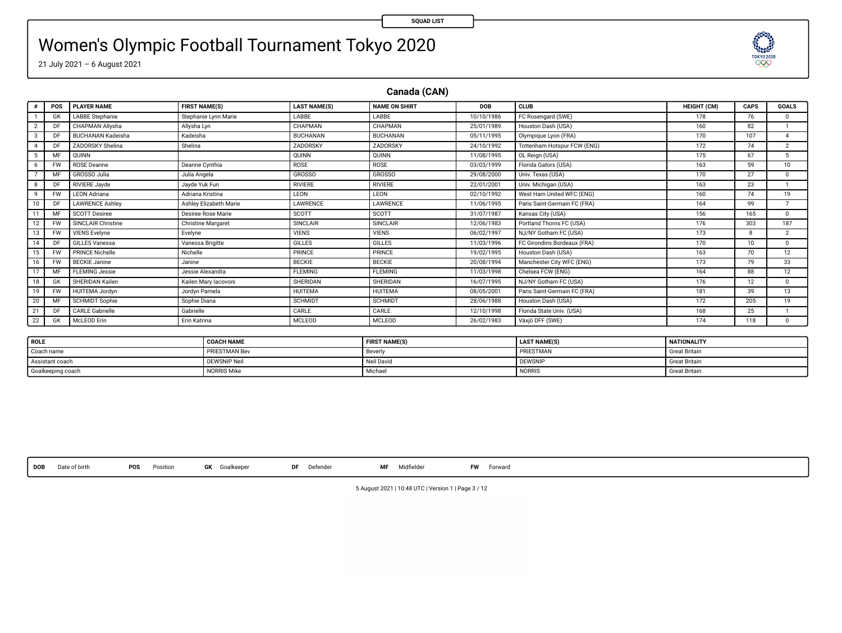# Women's Olympic Football Tournament Tokyo 2020

21 July 2021 – 6 August 2021

**Canada (CAN)**

| GK<br>DF<br>DF<br>3<br>DF<br>4<br>OUINN<br>5<br>M<br>ROSE Deanne<br><b>FW</b><br>6 | LABBE Stephanie<br>CHAPMAN Allysha<br><b>BUCHANAN Kadeisha</b><br>ZADORSKY Shelina | Stephanie Lynn Marie<br>Allysha Lyn<br>Kadeisha<br>Shelina | LABBE<br>CHAPMAN<br><b>BUCHANAN</b><br>ZADORSKY | LABBE<br>CHAPMAN<br>BUCHANAN | 10/10/1986<br>25/01/1989 | FC Rosengard (SWE)<br>Houston Dash (USA) | 178<br>160 | 76  | $\Omega$        |
|------------------------------------------------------------------------------------|------------------------------------------------------------------------------------|------------------------------------------------------------|-------------------------------------------------|------------------------------|--------------------------|------------------------------------------|------------|-----|-----------------|
|                                                                                    |                                                                                    |                                                            |                                                 |                              |                          |                                          |            |     |                 |
|                                                                                    |                                                                                    |                                                            |                                                 |                              |                          |                                          |            | 82  |                 |
|                                                                                    |                                                                                    |                                                            |                                                 |                              | 05/11/1995               | Olympique Lyon (FRA)                     | 170        | 107 |                 |
|                                                                                    |                                                                                    |                                                            |                                                 | ZADORSKY                     | 24/10/1992               | Tottenham Hotspur FCW (ENG)              | 172        | 74  | $\overline{2}$  |
|                                                                                    |                                                                                    |                                                            | <b>OUINN</b>                                    | QUINN                        | 11/08/1995               | OL Reign (USA)                           | 175        | 67  | 5.              |
|                                                                                    |                                                                                    | Deanne Cynthia                                             | ROSE                                            | ROSE                         | 03/03/1999               | Florida Gators (USA)                     | 163        | 59  | 10              |
| GROSSO Julia<br>MF                                                                 |                                                                                    | Julia Angela                                               | <b>GROSSO</b>                                   | <b>GROSSO</b>                | 29/08/2000               | Univ. Texas (USA)                        | 170        | 27  | $\Omega$        |
| <b>RIVIERE Javde</b><br>DF<br>8                                                    |                                                                                    | Javde Yuk Fun                                              | RIVIERE                                         | RIVIERE                      | 22/01/2001               | Univ. Michigan (USA)                     | 163        | 23  |                 |
| <b>LEON Adriana</b><br>9<br><b>FW</b>                                              |                                                                                    | Adriana Kristina                                           | LEON                                            | LEON                         | 02/10/1992               | West Ham United WFC (ENG)                | 160        | 74  | 19              |
| DF<br>10                                                                           | <b>LAWRENCE Ashley</b>                                                             | Ashley Elizabeth Marie                                     | <b>LAWRENCE</b>                                 | LAWRENCE                     | 11/06/1995               | Paris Saint-Germain FC (FRA)             | 164        | 99  |                 |
| <b>SCOTT Desiree</b><br>MF                                                         |                                                                                    | Desiree Rose Marie                                         | SCOTT                                           | SCOTT                        | 31/07/1987               | Kansas City (USA)                        | 156        | 165 | $^{\circ}$      |
| 12<br><b>FW</b>                                                                    | SINCLAIR Christine                                                                 | <b>Christine Margaret</b>                                  | SINCLAIR                                        | SINCLAIR                     | 12/06/1983               | Portland Thorns FC (USA)                 | 176        | 303 | 187             |
| <b>VIENS Evelyne</b><br>13<br><b>FW</b>                                            |                                                                                    | Evelyne                                                    | <b>VIENS</b>                                    | <b>VIENS</b>                 | 06/02/1997               | NJ/NY Gotham FC (USA)                    | 173        |     | $\overline{2}$  |
| <b>GILLES Vanessa</b><br>14<br>DF                                                  |                                                                                    | Vanessa Brigitte                                           | GILLES                                          | <b>GILLES</b>                | 11/03/1996               | FC Girondins Bordeaux (FRA)              | 170        | 10  | $\Omega$        |
| <b>PRINCE Nichelle</b><br>15<br><b>FW</b>                                          |                                                                                    | Nichelle                                                   | PRINCE                                          | PRINCE                       | 19/02/1995               | Houston Dash (USA)                       | 163        | 70  | 12              |
| <b>BECKIE Janine</b><br>16<br><b>FW</b>                                            |                                                                                    | Janine                                                     | <b>BECKIE</b>                                   | <b>BECKIE</b>                | 20/08/1994               | Manchester City WFC (ENG)                | 173        | 79  | 33 <sup>2</sup> |
| <b>FLEMING Jessie</b><br>17<br>MF                                                  |                                                                                    | Jessie Alexandra                                           | <b>FLEMING</b>                                  | <b>FLEMING</b>               | 11/03/1998               | Chelsea FCW (ENG)                        | 164        | 88  | 12              |
| 18<br>GK                                                                           | SHERIDAN Kailen                                                                    | Kailen Mary lacovoni                                       | SHERIDAN                                        | SHERIDAN                     | 16/07/1995               | NJ/NY Gotham FC (USA)                    | 176        | 12  | $\Omega$        |
| 19<br><b>FW</b>                                                                    | <b>HUITEMA Jordyn</b>                                                              | Jordyn Pamela                                              | HUITEMA                                         | HUITEMA                      | 08/05/2001               | Paris Saint-Germain FC (FRA)             | 181        | 39  | 13              |
| 20<br>MF                                                                           | <b>SCHMIDT Sophie</b>                                                              | Sophie Diana                                               | <b>SCHMIDT</b>                                  | SCHMIDT                      | 28/06/1988               | Houston Dash (USA)                       | 172        | 205 | 19              |
| <b>CARLE Gabrielle</b><br>21<br>DF                                                 |                                                                                    | Gabrielle                                                  | CARLE                                           | CARLE                        | 12/10/1998               | Florida State Univ. (USA)                | 168        | 25  |                 |
| 22<br>McLEOD Erin<br>GK                                                            |                                                                                    | Erin Katrina                                               | MCLEOD                                          | MCLEOD                       | 26/02/1983               | Växjö DFF (SWE)                          | 174        | 118 | $\Omega$        |

| ROLE              | <b>COACH NAME</b>    | <b>FIRST NAME(S)</b> | <b>LAST NAME(S)</b> | <b>NATIONALITY</b>   |
|-------------------|----------------------|----------------------|---------------------|----------------------|
| Coach name        | <b>PRIESTMAN Bev</b> | Beverl               | PRIESTMAN           | <b>Great Britair</b> |
| Assistant coach   | DEWSNIP Neil         | Neil David           | <b>DEWSNIE</b>      | <b>Great Britair</b> |
| Goalkeeping coach | <b>NORRIS Mike</b>   | Michael              | NORRIS              | <b>Great Britair</b> |

**DOB** Date of birth **POS** Position **GK** Goalkeeper **DF** Defender **MF** Midelder **FW** Forward

5 August 2021 | 10:48 UTC | Version 1 | Page 3 / 12

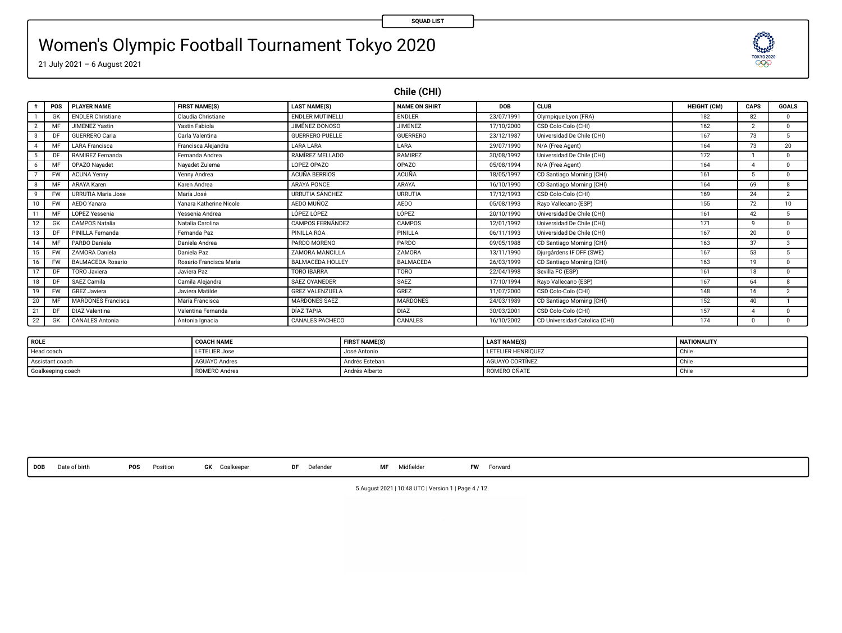### Women's Olympic Football Tournament Tokyo 2020



**Chile (CHI)**

**SQUAD LIST**

**TESTORY** 

|    | POS       | <b>PLAYER NAME</b>        | <b>FIRST NAME(S)</b>           | <b>LAST NAME(S)</b>     | NAME ON SHIRT    | <b>DOB</b> | CLUB                          | <b>HEIGHT (CM)</b> | CAPS           | <b>GOALS</b>   |
|----|-----------|---------------------------|--------------------------------|-------------------------|------------------|------------|-------------------------------|--------------------|----------------|----------------|
|    | GK        | <b>ENDLER Christiane</b>  | Claudia Christiane             | <b>ENDLER MUTINELLI</b> | <b>ENDLER</b>    | 23/07/1991 | Olympique Lyon (FRA)          | 182                | 82             | $\Omega$       |
|    | MR        | <b>JIMENEZ Yastin</b>     | Yastin Fabiola                 | JIMÉNEZ DONOSO          | <b>JIMENEZ</b>   | 17/10/2000 | CSD Colo-Colo (CHI)           | 162                | $\overline{2}$ | $^{\circ}$     |
|    | DF        | GUERRERO Carla            | Carla Valentina                | <b>GUERRERO PUELLE</b>  | <b>GUERRERO</b>  | 23/12/1987 | Universidad De Chile (CHI)    | 167                | 73             | 5.             |
|    | MF        | <b>LARA Francisca</b>     | Francisca Aleiandra            | <b>LARA LARA</b>        | LARA             | 29/07/1990 | N/A (Free Agent)              | 164                | 73             | 20             |
|    | DF        | RAMIREZ Fernanda          | Fernanda Andrea                | RAMÍREZ MELLADO         | <b>RAMIREZ</b>   | 30/08/1992 | Universidad De Chile (CHI)    | 172                |                | $^{\circ}$     |
|    | ME        | OPAZO Navadet             | Navadet Zulema                 | LOPEZ OPAZO             | OPAZO            | 05/08/1994 | N/A (Free Agent)              | 164                |                | $\Omega$       |
|    | <b>FW</b> | <b>ACUNA Yenny</b>        | Yenny Andrea                   | <b>ACUÑA BERRIOS</b>    | <b>ACUÑA</b>     | 18/05/1997 | CD Santiago Morning (CHI)     | 161                | 5              | $^{\circ}$     |
|    | MF        | ARAYA Karen               | Karen Andrea                   | ARAYA PONCE             | ARAYA            | 16/10/1990 | CD Santiago Morning (CHI)     | 164                | 69             | 8              |
|    | <b>FW</b> | URRUTIA Maria Jose        | María José                     | <b>URRUTIA SÁNCHEZ</b>  | <b>URRUTIA</b>   | 17/12/1993 | CSD Colo-Colo (CHI)           | 169                | 24             | $\overline{2}$ |
|    | <b>FW</b> | AEDO Yanara               | Yanara Katherine Nicole        | AEDO MUÑOZ              | AED <sub>0</sub> | 05/08/1993 | Rayo Vallecano (ESP)          | 155                | 72             | 10             |
|    | MR        | LOPEZ Vessenia            | Yessenia Andrea                | LOPEZ LOPEZ             | LÓPEZ            | 20/10/1990 | Universidad De Chile (CHI)    | 161                | 42             | 5              |
| 12 | GK        | <b>CAMPOS Natalia</b>     | Natalia Carolina               | <b>CAMPOS FERNÁNDEZ</b> | CAMPOS           | 12/01/1992 | Universidad De Chile (CHI)    | 171                | $\mathbf{Q}$   | $\Omega$       |
| 13 | DF        | PINILLA Fernanda          | Fernanda Paz                   | PINILLA ROA             | PINILLA          | 06/11/1993 | Universidad De Chile (CHI)    | 167                | 20             | $\Omega$       |
|    | MF        | PARDO Daniela             | Daniela Andrea                 | PARDO MORENO            | PARDO            | 09/05/1988 | CD Santiago Morning (CHI)     | 163                | 37             | 3              |
| 15 | <b>FW</b> | ZAMORA Daniela            | Daniela Paz                    | ZAMORA MANCILLA         | ZAMORA           | 13/11/1990 | Diurgårdens IF DFF (SWE)      | 167                | 53             | 5.             |
|    | <b>FW</b> | <b>BALMACEDA Rosario</b>  | <b>Rosario Francisca Maria</b> | <b>BALMACEDA HOLLEY</b> | BALMACEDA        | 26/03/1999 | CD Santiago Morning (CHI)     | 163                | 19             | 0.             |
|    | DE        | TORO Javiera              | Javiera Paz                    | <b>TORO IBARRA</b>      | <b>TORO</b>      | 22/04/1998 | Sevilla FC (ESP)              | 161                | 18             | $^{\circ}$     |
| 18 | DF        | SAEZ Camila               | Camila Aleiandra               | SÁEZ OYANEDER           | SAEZ             | 17/10/1994 | Rayo Vallecano (ESP)          | 167                | 64             | 8              |
| 19 | <b>FW</b> | GREZ Javiera              | Javiera Matilde                | <b>GREZ VALENZUELA</b>  | GREZ             | 11/07/2000 | CSD Colo-Colo (CHI)           | 148                | 16             | $\overline{2}$ |
| 20 | MF        | <b>MARDONES Francisca</b> | María Francisca                | MARDONES SAFZ           | <b>MARDONES</b>  | 24/03/1989 | CD Santiago Morning (CHI)     | 152                | 40             |                |
| 21 | DF        | <b>DIAZ Valentina</b>     | Valentina Fernanda             | <b>DÍA7 TAPIA</b>       | DIAZ             | 30/03/2001 | CSD Colo-Colo (CHI)           | 157                |                | $^{\circ}$     |
| 22 | GK        | <b>CANALES Antonia</b>    | Antonia Ignacia                | CANALES PACHECO         | CANALES          | 16/10/2002 | CD Universidad Catolica (CHI) | 174                | n              | $\mathbf{0}$   |

| ROLE              | <b>COACH NAME</b>    | <b>FIRST NAME(S)</b> | <b>LAST NAME(S)</b> | <b>NATIONALITY</b> |
|-------------------|----------------------|----------------------|---------------------|--------------------|
| Head coach        | <b>LETELIER Jose</b> | José Antonio         | LETELIER HENRIOUEZ  | i unix             |
| Assistant coach   | <b>AGUAYO Andres</b> | Andrés Esteban       | AGUAYO CORTÍNEZ     | $\sim$             |
| Goalkeeping coach | <b>ROMERO Andres</b> | Andrés Alberto       | ROMERO OÑATE        | <b>Unit</b>        |

**DOB** Date of birth **POS** Position **GK** Goalkeeper **DF** Defender **MF** Midelder **FW** Forward

5 August 2021 | 10:48 UTC | Version 1 | Page 4 / 12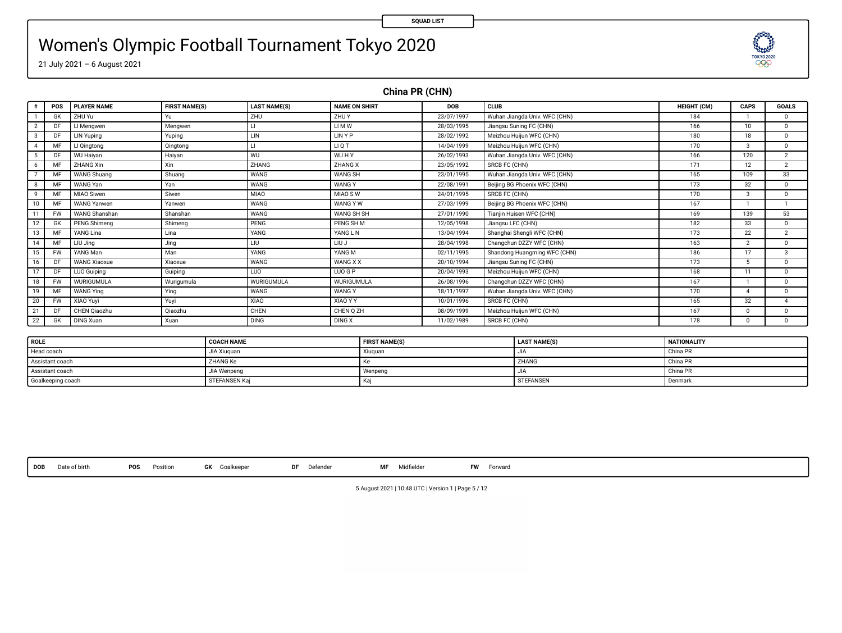TOKYO 2020  $\infty$ 

# Women's Olympic Football Tournament Tokyo 2020

21 July 2021 – 6 August 2021

**China PR (CHN)**

| $\theta$ | POS       | <b>PLAYER NAME</b>  | <b>FIRST NAME(S)</b> | <b>LAST NAME(S)</b> | <b>NAME ON SHIRT</b> | DOB        | CLUB                          | <b>HEIGHT (CM)</b> | CAPS           | <b>GOALS</b>   |
|----------|-----------|---------------------|----------------------|---------------------|----------------------|------------|-------------------------------|--------------------|----------------|----------------|
|          | GK        | ZHU Yu              | Yu                   | ZHU                 | ZHU Y                | 23/07/1997 | Wuhan Jiangda Univ. WFC (CHN) | 184                |                | $^{\circ}$     |
|          |           | LI Menowen          | Mengwen              |                     | <b>LIMW</b>          | 28/03/1995 | Jiangsu Suning FC (CHN)       | 166                | 10             | $^{\circ}$     |
| 3        | DF        | LIN Yuping          | Yuping               | LIN                 | <b>LINYP</b>         | 28/02/1992 | Meizhou Huiiun WFC (CHN)      | 180                | 18             | $^{\circ}$     |
| Δ        |           | LI Qingtong         | Qingtong             |                     | <b>LIQT</b>          | 14/04/1999 | Meizhou Huijun WFC (CHN)      | 170                | $\mathfrak{p}$ | $^{\circ}$     |
| 5        |           | <b>WU Haivan</b>    | Haiyan               | WU                  | WUHY                 | 26/02/1993 | Wuhan Jiangda Univ. WFC (CHN) | 166                | 120            | $\overline{2}$ |
| 6        |           | ZHANG Xin           | Xin                  | ZHANG               | ZHANG X              | 23/05/1992 | SRCB FC (CHN)                 | 171                | 12             | $\overline{2}$ |
|          |           | <b>WANG Shuang</b>  | Shuang               | <b>WANG</b>         | <b>WANG SH</b>       | 23/01/1995 | Wuhan Jiangda Univ. WFC (CHN) | 165                | 109            | 33             |
| R        |           | WANG Yan            | Yan                  | <b>WANG</b>         | <b>WANGY</b>         | 22/08/1991 | Beijing BG Phoenix WFC (CHN)  | 173                | 32             | $^{\circ}$     |
| ۹        |           | MIAO Siwen          | Siwen                | MIAO                | MIAO SW              | 24/01/1995 | SRCB FC (CHN)                 | 170                | я              | $^{\circ}$     |
| 10       | MF        | <b>WANG Yanwen</b>  | Yanwen               | <b>WANG</b>         | WANG Y W             | 27/03/1999 | Beiling BG Phoenix WFC (CHN)  | 167                |                |                |
|          | <b>FW</b> | WANG Shanshan       | Shanshan             | <b>WANG</b>         | WANG SH SH           | 27/01/1990 | Tianjin Huisen WFC (CHN)      | 169                | 139            | 53             |
| 12       | GK        | <b>PENG Shimeng</b> | Shimena              | PENG                | PENG SH M            | 12/05/1998 | Jiangsu LFC (CHN)             | 182                | 33             | $^{\circ}$     |
| 13       |           | YANG Lina           | Lina                 | YANG                | YANG LN              | 13/04/1994 | Shanghai Shengli WFC (CHN)    | 173                | 22             | $\overline{2}$ |
| 14       | MR        | LIU Jina            | Jing                 | LIU                 | LIU J                | 28/04/1998 | Changchun DZZY WFC (CHN)      | 163                | $\mathcal{D}$  | $^{\circ}$     |
| 15       | <b>FW</b> | YANG Man            | Man                  | YANG                | YANG M               | 02/11/1995 | Shandong Huangming WFC (CHN)  | 186                | 17             | 3              |
| 16       | DF        | <b>WANG Xiaoxue</b> | Xiaoxue              | <b>WANG</b>         | WANG X X             | 20/10/1994 | Jiangsu Suning FC (CHN)       | 173                | 5.             | $\overline{0}$ |
| 17       | DF        | <b>LUO Guiping</b>  | Guiping              | LUO                 | LUO G P              | 20/04/1993 | Meizhou Huijun WFC (CHN)      | 168                | 11             | $^{\circ}$     |
| 18       | <b>FW</b> | WURIGUMULA          | Wurigumula           | WURIGUMULA          | WURIGUMULA           | 26/08/1996 | Changchun DZZY WFC (CHN)      | 167                |                | $^{\circ}$     |
| 19       | MF        | <b>WANG Ying</b>    | Ying                 | <b>WANG</b>         | <b>WANGY</b>         | 18/11/1997 | Wuhan Jiangda Univ. WFC (CHN) | 170                |                | $^{\circ}$     |
| 20       | <b>FW</b> | XIAO Yuvi           | Yuyi                 | XIAO                | XIAO Y Y             | 10/01/1996 | SRCB FC (CHN)                 | 165                | 32             |                |
| 21       |           | CHEN Qiaozhu        | Oiaozhu              | CHEN                | CHEN Q ZH            | 08/09/1999 | Meizhou Huijun WFC (CHN)      | 167                | $\Omega$       | $^{\circ}$     |
| 22       | GK        | <b>DING Xuan</b>    | Xuan                 | <b>DING</b>         | <b>DING X</b>        | 11/02/1989 | SRCB FC (CHN)                 | 178                | $\Omega$       | $^{\circ}$     |

| <b>ROLE</b>       | <b>COACH NAME</b>    | <b>FIRST NAME(S)</b> | <b>LAST NAME(S)</b> | <b>NATIONALITY</b> |
|-------------------|----------------------|----------------------|---------------------|--------------------|
| Head coach        | JIA Xiuguar          | Xiuguar              | وال                 | China PR           |
| Assistant coach   | <b>ZHANG Ke</b>      |                      | ZHANG               | China PR           |
| Assistant coach   | JIA Wenpeng          | Wenpeng              | حاليا               | China PR           |
| Goalkeeping coach | <b>STEFANSEN Kai</b> |                      | <b>STEFANSEN</b>    | Denmark            |

**DOB** Date of birth **POS** Position **GK** Goalkeeper **DF** Defender **MF** Midelder **FW** Forward

5 August 2021 | 10:48 UTC | Version 1 | Page 5 / 12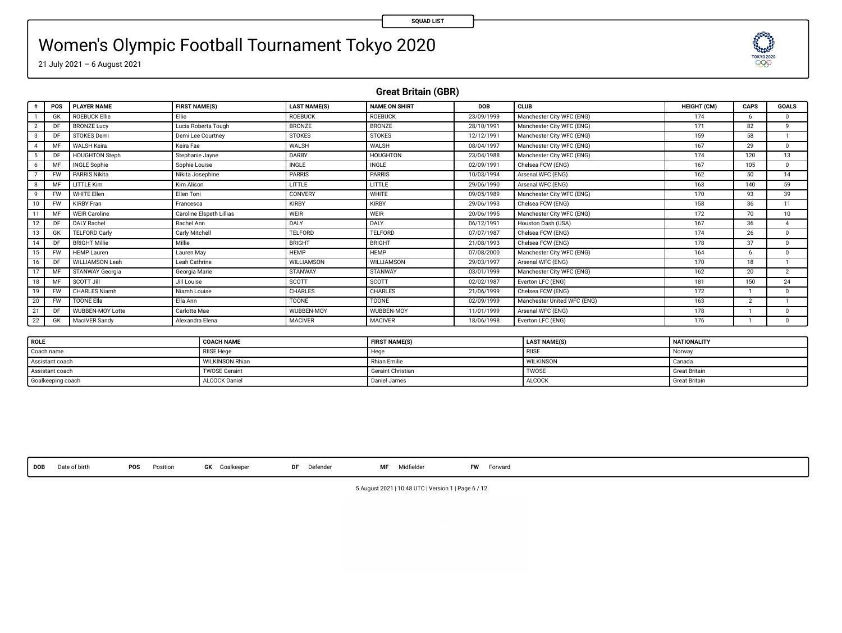# Women's Olympic Football Tournament Tokyo 2020

21 July 2021 – 6 August 2021

**Great Britain (GBR)**

| $\theta$ | POS       | <b>PLAYER NAME</b>      | <b>FIRST NAME(S)</b>     | <b>LAST NAME(S)</b> | <b>NAME ON SHIRT</b> | DOB        | <b>CLUB</b>                 | <b>HEIGHT (CM)</b> | CAPS           | <b>GOALS</b>    |
|----------|-----------|-------------------------|--------------------------|---------------------|----------------------|------------|-----------------------------|--------------------|----------------|-----------------|
|          | GK        | <b>ROEBUCK Ellie</b>    | Flie.                    | <b>ROEBUCK</b>      | <b>ROEBUCK</b>       | 23/09/1999 | Manchester City WFC (ENG)   | 174                | 6.             | $\Omega$        |
|          | DF        | <b>BRONZE Lucy</b>      | Lucia Roberta Tough      | <b>BRONZE</b>       | <b>BRONZE</b>        | 28/10/1991 | Manchester City WFC (ENG)   | 171                | 82             | ۰               |
| 3        | D)        | STOKES Demi             | Demi Lee Courtney        | <b>STOKES</b>       | <b>STOKES</b>        | 12/12/1991 | Manchester City WFC (ENG)   | 159                | 58             |                 |
| $\Delta$ | MF        | <b>WALSH Keira</b>      | Keira Fae                | WALSH               | WALSH                | 08/04/1997 | Manchester City WFC (ENG)   | 167                | 29             | $\Omega$        |
| 5        | DF        | <b>HOUGHTON Steph</b>   | Stephanie Jayne          | DARBY               | <b>HOUGHTON</b>      | 23/04/1988 | Manchester City WFC (ENG)   | 174                | 120            | 13              |
| 6        | MF        | <b>INGLE Sophie</b>     | Sophie Louise            | <b>INGLE</b>        | INGLE                | 02/09/1991 | Chelsea FCW (ENG)           | 167                | 105            | $\Omega$        |
|          |           | <b>PARRIS Nikita</b>    | Nikita Josephine         | <b>PARRIS</b>       | <b>PARRIS</b>        | 10/03/1994 | Arsenal WFC (ENG)           | 162                | 50             | 14              |
| 8        | MF        | LITTLE Kim              | Kim Alison               | LITTLE              | LITTLE               | 29/06/1990 | Arsenal WFC (ENG)           | 163                | 140            | 59              |
| 9        | <b>FW</b> | WHITE Ellen             | Ellen Toni               | CONVERY             | WHITE                | 09/05/1989 | Manchester City WFC (ENG)   | 170                | 93             | 39              |
| 10       | <b>FW</b> | <b>KIRBY Fran</b>       | Francesca                | KIRBY               | KIRBY                | 29/06/1993 | Chelsea FCW (ENG)           | 158                | 36             | $\overline{11}$ |
| 11       | м         | <b>WEIR Caroline</b>    | Caroline Elspeth Lillias | WEIR                | WEIR                 | 20/06/1995 | Manchester City WFC (ENG)   | 172                | 70             | 10              |
| 12       | DF        | <b>DALY Rachel</b>      | Rachel Ann               | DALY                | DALY                 | 06/12/1991 | Houston Dash (USA)          | 167                | 36             |                 |
| 13       | GK        | <b>TELFORD Carly</b>    | Carly Mitchell           | <b>TELFORD</b>      | <b>TELFORD</b>       | 07/07/1987 | Chelsea FCW (ENG)           | 174                | 26             | $\Omega$        |
| 14       | DF        | <b>BRIGHT Millie</b>    | Millie                   | BRIGHT              | <b>BRIGHT</b>        | 21/08/1993 | Chelsea FCW (ENG)           | 178                | 37             | $\Omega$        |
| 15       | <b>FW</b> | <b>HEMP Lauren</b>      | Lauren May               | HEMP                | <b>HEMP</b>          | 07/08/2000 | Manchester City WFC (ENG)   | 164                | -6             | $\Omega$        |
| 16       | DF        | WILLIAMSON Leah         | Leah Cathrine            | WILLIAMSON          | WILLIAMSON           | 29/03/1997 | Arsenal WFC (ENG)           | 170                | 18             |                 |
| 17       | MF        | STANWAY Georgia         | Georgia Marie            | STANWAY             | STANWAY              | 03/01/1999 | Manchester City WFC (ENG)   | 162                | 20             | $\overline{2}$  |
| 18       | MF        | SCOTT Jill              | <b>Jill Louise</b>       | SCOTT               | SCOTT                | 02/02/1987 | Everton LFC (ENG)           | 181                | 150            | 24              |
| 19       | <b>FW</b> | <b>CHARLES Niamh</b>    | Niamh Louise             | CHARLES             | CHARLES              | 21/06/1999 | Chelsea FCW (ENG)           | 172                |                | $\Omega$        |
| 20       | <b>FW</b> | <b>TOONE Ella</b>       | Ella Ann                 | <b>TOONE</b>        | <b>TOONE</b>         | 02/09/1999 | Manchester United WFC (ENG) | 163                | $\overline{2}$ |                 |
| 21       | DF        | <b>WUBBEN-MOY Lotte</b> | Carlotte Mae             | WUBBEN-MOY          | WUBBEN-MOY           | 11/01/1999 | Arsenal WFC (ENG)           | 178                |                | $\Omega$        |
| 22       | GK        | MacIVER Sandy           | Alexandra Elena          | <b>MACIVER</b>      | <b>MACIVER</b>       | 18/06/1998 | Everton LFC (ENG)           | 176                |                | $^{\circ}$      |

| <b>ROLE</b>       | <b>COACH NAME</b>      | <b>FIRST NAME(S)</b> | <b>LAST NAME(S)</b> | <b>NATIONALITY</b>   |
|-------------------|------------------------|----------------------|---------------------|----------------------|
| Coach name        | <b>RIISE Hege</b>      | Hege                 | RISE                | Norway               |
| Assistant coach   | <b>WILKINSON Rhian</b> | <b>Rhian Emilie</b>  | <b>WILKINSON</b>    | Canada               |
| Assistant coach   | <b>TWOSE Geraint</b>   | Geraint Christian    | <b>TWOSE</b>        | <b>Great Britain</b> |
| Goalkeeping coach | <b>ALCOCK Daniel</b>   | Daniel James         | ALCOCK              | <b>Great Britain</b> |

**DOB** Date of birth **POS** Position **GK** Goalkeeper **DF** Defender **MF** Midelder **FW** Forward

5 August 2021 | 10:48 UTC | Version 1 | Page 6 / 12

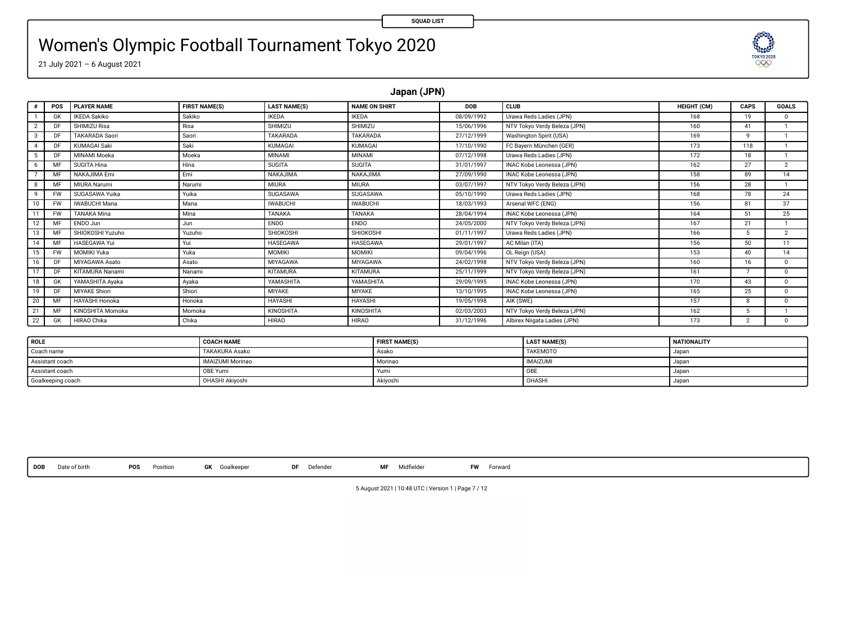## Women's Olympic Football Tournament Tokyo 2020



**Japan (JPN)**

|            | POS       | <b>PLAYER NAME</b>    | <b>FIRST NAME(S)</b> | <b>LAST NAME(S)</b> | <b>NAME ON SHIRT</b> | DOB        | <b>CLUB</b>                  | <b>HEIGHT (CM)</b> | CAPS           | <b>GOALS</b>   |
|------------|-----------|-----------------------|----------------------|---------------------|----------------------|------------|------------------------------|--------------------|----------------|----------------|
|            | GK        | <b>IKEDA Sakiko</b>   | Sakiko               | <b>IKEDA</b>        | <b>IKEDA</b>         | 08/09/1992 | Urawa Reds Ladies (JPN)      | 168                | 19             | n              |
| 2          | DF        | SHIMIZU Risa          | Risa                 | SHIMIZU             | SHIMIZU              | 15/06/1996 | NTV Tokyo Verdy Beleza (JPN) | 160                | 41             |                |
| а          | DF        | <b>TAKARADA Saori</b> | Saori                | TAKARADA            | TAKARADA             | 27/12/1999 | Washington Spirit (USA)      | 169                | ۰              |                |
|            | DF        | <b>KUMAGAI Saki</b>   | Saki                 | <b>KUMAGAI</b>      | <b>KUMAGAI</b>       | 17/10/1990 | FC Bayern München (GER)      | 173                | 118            |                |
|            | DF        | MINAMI Moeka          | Moeka                | MINAMI              | MINAMI               | 07/12/1998 | Urawa Reds Ladies (JPN)      | 172                | 18             |                |
| 6          | M         | SUGITA Hina           | Hina                 | <b>SUGITA</b>       | <b>SUGITA</b>        | 31/01/1997 | INAC Kobe Leonessa (JPN)     | 162                | 27             | $\overline{2}$ |
|            | M         | NAKAJIMA Emi          | Emi                  | <b>NAKAJIMA</b>     | <b>NAKAJIMA</b>      | 27/09/1990 | INAC Kobe Leonessa (JPN)     | 158                | 89             | 14             |
|            | M         | MIURA Narumi          | Narumi               | MIURA               | MIURA                | 03/07/1997 | NTV Tokyo Verdy Beleza (JPN) | 156                | 28             |                |
| $\ddot{q}$ | <b>FW</b> | SUGASAWA Yuika        | Yuika                | SUGASAWA            | SUGASAWA             | 05/10/1990 | Urawa Reds Ladies (JPN)      | 168                | 78             | 24             |
| 10         | <b>FW</b> | <b>IWABUCHI Mana</b>  | Mana                 | <b>IWABUCHI</b>     | <b>IWABUCHI</b>      | 18/03/1993 | Arsenal WFC (ENG)            | 156                | 81             | 37             |
|            | <b>FW</b> | <b>TANAKA Mina</b>    | Mina                 | <b>TANAKA</b>       | TANAKA               | 28/04/1994 | INAC Kobe Leonessa (JPN)     | 164                | 51             | 25             |
| 12         | MF        | ENDO Jun              | Jun                  | <b>ENDO</b>         | <b>ENDO</b>          | 24/05/2000 | NTV Tokyo Verdy Beleza (JPN) | 167                | 21             |                |
|            | M         | SHIOKOSHI Yuzuho      | Yuzuho               | SHIOKOSHI           | SHIOKOSHI            | 01/11/1997 | Urawa Reds Ladies (JPN)      | 166                |                | $\overline{2}$ |
| 14         | M         | HASEGAWA Yui          | Yui                  | <b>HASEGAWA</b>     | <b>HASEGAWA</b>      | 29/01/1997 | AC Milan (ITA)               | 156                | 50             | 11             |
| 15         | <b>FW</b> | MOMIKI Yuka           | Yuka                 | <b>MOMIKI</b>       | MOMIKI               | 09/04/1996 | OL Reign (USA)               | 153                | 40             | 14             |
| 16         | DF        | MIYAGAWA Asato        | Asato                | <b>MIYAGAWA</b>     | MIYAGAWA             | 24/02/1998 | NTV Tokyo Verdy Beleza (JPN) | 160                | 16             | $^{\circ}$     |
|            | DF        | KITAMURA Nanami       | Nanami               | KITAMURA            | <b>KITAMURA</b>      | 25/11/1999 | NTV Tokyo Verdy Beleza (JPN) | 161                |                | 0              |
| 18         | GK        | YAMASHITA Avaka       | Ayaka                | YAMASHITA           | YAMASHITA            | 29/09/1995 | INAC Kobe Leonessa (JPN)     | 170                | 43             | 0              |
| 19         | DF        | MIYAKE Shiori         | Shiori               | MIYAKE              | MIYAKE               | 13/10/1995 | INAC Kobe Leonessa (JPN)     | 165                | 25             | $\Omega$       |
| 20         | MR        | <b>HAYASHI Honoka</b> | Honoka               | HAYASHI             | HAYASHI              | 19/05/1998 | AIK (SWE)                    | 157                |                | n              |
| 21         | MR        | KINOSHITA Momoka      | Momoka               | KINOSHITA           | KINOSHITA            | 02/03/2003 | NTV Tokyo Verdy Beleza (JPN) | 162                |                |                |
| 22         | GK        | HIRAO Chika           | Chika                | <b>HIRAO</b>        | <b>HIRAO</b>         | 31/12/1996 | Albirex Niigata Ladies (JPN) | 173                | $\overline{2}$ | $^{\circ}$     |

| <b>ROLE</b>       | <b>COACH NAME</b>      | <b>FIRST NAME(S)</b> | <b>LAST NAME(S)</b> | <b>NATIONALITY</b> |
|-------------------|------------------------|----------------------|---------------------|--------------------|
| Coach name        | <b>TAKAKURA Asako</b>  | Asako                | <b>TAKEMOTO</b>     | Japar              |
| Assistant coach   | IMAIZUMI Morinao       | Morinao              | <b>IMAIZUMI</b>     | Japa               |
| Assistant coach   | OBE Yumi               | Yumi                 | OBE                 | Japa               |
| Goalkeeping coach | <b>OHASHI Akiyoshi</b> | Akivoshi             | OHASHI              | Japar              |

**DOB** Date of birth **POS** Position **GK** Goalkeeper **DF** Defender **MF** Midelder **FW** Forward

5 August 2021 | 10:48 UTC | Version 1 | Page 7 / 12

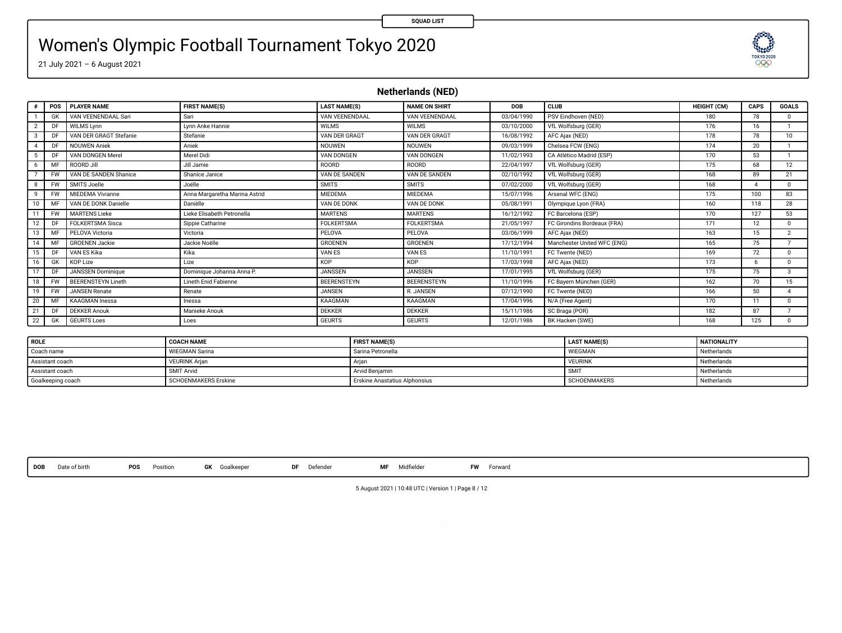# Women's Olympic Football Tournament Tokyo 2020

21 July 2021 – 6 August 2021

**Netherlands (NED)**

| $\theta$ | <b>POS</b> | <b>PLAYER NAME</b>        | <b>FIRST NAME(S)</b>          | <b>LAST NAME(S)</b> | <b>NAME ON SHIRT</b> | <b>DOB</b> | <b>CLUB</b>                 | <b>HEIGHT (CM)</b> | CAPS | <b>GOALS</b>  |
|----------|------------|---------------------------|-------------------------------|---------------------|----------------------|------------|-----------------------------|--------------------|------|---------------|
|          | GK         | VAN VEENENDAAL Sari       | Sari                          | VAN VEENENDAAL      | VAN VEENENDAAL       | 03/04/1990 | PSV Eindhoven (NED)         | 180                | 78   |               |
|          | DF         | <b>WILMS Lynn</b>         | Lynn Anke Hannie              | <b>WILMS</b>        | <b>WILMS</b>         | 03/10/2000 | VfL Wolfsburg (GER)         | 176                | 16   |               |
| 3        | DF         | VAN DER GRAGT Stefanie    | Stefanie                      | VAN DER GRAGT       | VAN DER GRAGT        | 16/08/1992 | AFC Ajax (NED)              | 178                | 78   | 10            |
| $\Delta$ | DF         | <b>NOUWEN Aniek</b>       | Aniek                         | <b>NOUWEN</b>       | NOUWEN               | 09/03/1999 | Chelsea FCW (ENG)           | 174                | 20   |               |
| 5        | DF         | VAN DONGEN Merel          | Merel Didi                    | VAN DONGEN          | VAN DONGEN           | 11/02/1993 | CA Atlético Madrid (ESP)    | 170                | 53   |               |
| 6        | MF         | ROORD Jill                | Jill Jamie                    | ROORD               | ROORD                | 22/04/1997 | VfL Wolfsburg (GER)         | 175                | 68   | 12            |
|          | <b>FW</b>  | VAN DE SANDEN Shanice     | Shanice Janice                | VAN DE SANDEN       | VAN DE SANDEN        | 02/10/1992 | VfL Wolfsburg (GER)         | 168                | 89   | 21            |
| 8        | <b>FW</b>  | SMITS Joelle              | Joëlle                        | <b>SMITS</b>        | <b>SMITS</b>         | 07/02/2000 | VfL Wolfsburg (GER)         | 168                |      | $\Omega$      |
| 9        | <b>FW</b>  | MIFDEMA Vivianne          | Anna Margaretha Marina Astrid | <b>MIEDEMA</b>      | MIEDEMA              | 15/07/1996 | Arsenal WFC (ENG)           | 175                | 100  | 83            |
| 10       | MF         | VAN DE DONK Danielle      | Daniëlle                      | VAN DE DONK         | VAN DE DONK          | 05/08/1991 | Olympique Lyon (FRA)        | 160                | 118  | 28            |
|          | <b>FW</b>  | <b>MARTENS Lieke</b>      | Lieke Elisabeth Petronella    | <b>MARTENS</b>      | <b>MARTENS</b>       | 16/12/1992 | FC Barcelona (ESP)          | 170                | 127  | 53            |
| 12       | DF         | <b>FOI KERTSMA Sisca</b>  | Sippie Catharine              | <b>FOLKERTSMA</b>   | <b>FOLKERTSMA</b>    | 21/05/1997 | FC Girondins Bordeaux (FRA) | 171                | 12   | $\Omega$      |
| 13       | MF         | PELOVA Victoria           | Victoria                      | PELOVA              | PELOVA               | 03/06/1999 | AFC Ajax (NED)              | 163                | 15   | $\mathcal{D}$ |
| 14       | MF         | <b>GROENEN Jackie</b>     | Jackie Noëlle                 | <b>GROENEN</b>      | GROENEN              | 17/12/1994 | Manchester United WFC (ENG) | 165                | 75   |               |
| 15       | DF         | VAN ES Kika               | Kika                          | VAN ES              | VAN ES               | 11/10/1991 | FC Twente (NED)             | 169                | 72   | $\Omega$      |
| 16       | <b>GK</b>  | <b>KOP Lize</b>           | Lize                          | <b>KOP</b>          | KOP                  | 17/03/1998 | AFC Ajax (NED)              | 173                | -6   |               |
| 17       | DF         | <b>JANSSEN Dominique</b>  | Dominique Johanna Anna P.     | <b>JANSSEN</b>      | <b>JANSSEN</b>       | 17/01/1995 | VfL Wolfsburg (GER)         | 175                | 75   | $\mathcal{R}$ |
| 18       | <b>FW</b>  | <b>BEERENSTEYN Lineth</b> | Lineth Enid Fabienne          | <b>REFRENSTEVN</b>  | BEERENSTEYN          | 11/10/1996 | FC Bayern München (GER)     | 162                | 70   | 15            |
| 19       | <b>FW</b>  | <b>JANSEN Renate</b>      | Renate                        | <b>JANSEN</b>       | R. JANSEN            | 07/12/1990 | FC Twente (NED)             | 166                | 50   |               |
| 20       | MF         | <b>KAAGMAN</b> Inesse     | Inessa                        | <b>KAAGMAN</b>      | KAAGMAN              | 17/04/1996 | N/A (Free Agent)            | 170                | 11   | $\Omega$      |
| 21       | DF         | <b>DEKKER Anouk</b>       | Manieke Anouk                 | <b>DEKKER</b>       | <b>DEKKER</b>        | 15/11/1986 | SC Braga (POR)              | 182                | 87   |               |
| 22       | <b>GK</b>  | <b>GEURTS Loes</b>        | Loes                          | <b>GEURTS</b>       | <b>GEURTS</b>        | 12/01/1986 | BK Hacken (SWE)             | 168                | 125  | $^{\circ}$    |

| <b>ROLE</b>       | <b>COACH NAME</b>     | <b>FIRST NAME(S)</b>          | <b>LAST NAME(S)</b> | <b>NATIONALITY</b> |
|-------------------|-----------------------|-------------------------------|---------------------|--------------------|
| Coach name        | <b>WIEGMAN Sarina</b> | Sarina Petronella             | <b>WIEGMAN</b>      | Netherlands        |
| Assistant coach   | <b>VEURINK Arian</b>  |                               | <b>VEURINK</b>      | Netherlands        |
| Assistant coach   | SMIT Arvid            | Arvid Beniamin                | <b>SMI</b>          | Netherlands        |
| Goalkeeping coach | SCHOENMAKERS Erskine  | Erskine Anastatius Alphonsius | <b>SCHOENMAKERS</b> | Netherlands        |

**DOB** Date of birth **POS** Position **GK** Goalkeeper **DF** Defender **MF** Midelder **FW** Forward

5 August 2021 | 10:48 UTC | Version 1 | Page 8 / 12

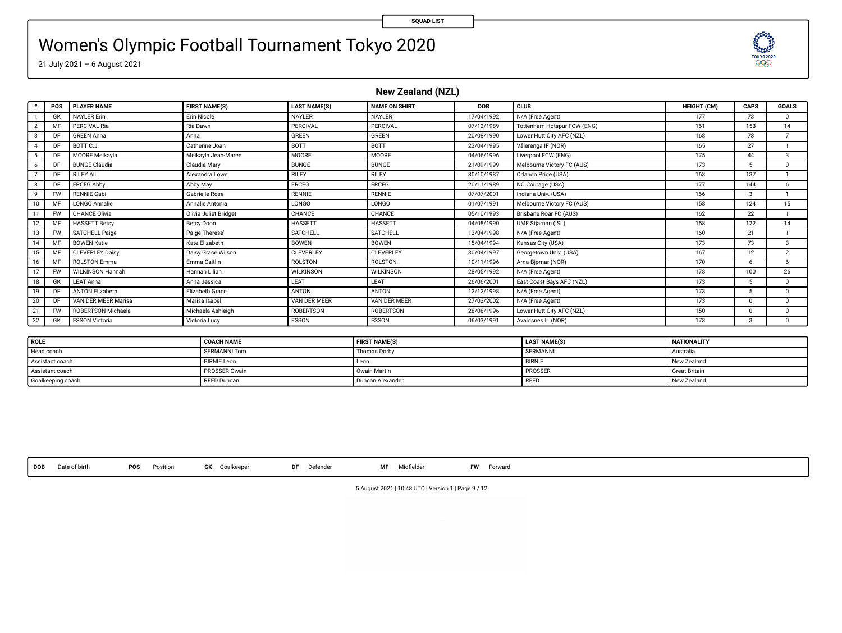# Women's Olympic Football Tournament Tokyo 2020

21 July 2021 – 6 August 2021

**New Zealand (NZL)**

|               | POS             | <b>PLAYER NAME</b>        | <b>FIRST NAME(S)</b>  | <b>LAST NAME(S)</b> | <b>NAME ON SHIRT</b> | <b>DOB</b> | CLUB                        | HEIGHT (CM) | CAPS          | <b>GOALS</b>             |
|---------------|-----------------|---------------------------|-----------------------|---------------------|----------------------|------------|-----------------------------|-------------|---------------|--------------------------|
|               | GK              | <b>NAYLER Erin</b>        | <b>Erin Nicole</b>    | NAYLER              | NAVI FR              | 17/04/1992 | N/A (Free Agent)            | 177         | 73            | $\Omega$                 |
|               | MF              | PERCIVAL Ria              | Ria Dawn              | PERCIVAL            | PERCIVAL             | 07/12/1989 | Tottenham Hotsour FCW (ENG) | 161         | 153           | 14                       |
| $\mathcal{R}$ | DF              | <b>GREEN Anna</b>         | Anna                  | GREEN               | <b>GREEN</b>         | 20/08/1990 | Lower Hutt City AFC (NZL)   | 168         | <b>78</b>     | $\overline{\phantom{a}}$ |
|               | DF              | BOTT C.J.                 | Catherine Joan        | BOTT                | BOTT                 | 22/04/1995 | Vålerenga IF (NOR)          | 165         | 27            |                          |
|               | n               | <b>MOORE Meikavia</b>     | Meikavia Jean-Maree   | MOORE               | MOORE                | 04/06/1996 | Liverpool FCW (ENG)         | 175         | 44            | $\mathcal{R}$            |
| 6             | DI              | <b>BUNGE Claudia</b>      | Claudia Mary          | <b>BUNGE</b>        | <b>BUNGE</b>         | 21/09/1999 | Melbourne Victory FC (AUS)  | 173         | 5             | $\Omega$                 |
|               | DI <sub>1</sub> | <b>RILEY Ali</b>          | Alexandra Lowe        | RILEY               | <b>RILEY</b>         | 30/10/1987 | Orlando Pride (USA)         | 163         | 137           |                          |
| $\mathbf{R}$  | D               | <b>ERCEG Abby</b>         | Abby May              | ERCEG               | ERCEG                | 20/11/1989 | NC Courage (USA)            | 177         | 144           | 6.                       |
| $\mathbf{Q}$  | <b>FW</b>       | <b>RENNIE Gabi</b>        | <b>Gabrielle Rose</b> | <b>RENNIE</b>       | <b>RENNIE</b>        | 07/07/2001 | Indiana Univ. (USA)         | 166         | $\mathcal{R}$ |                          |
|               | MF              | <b>LONGO Annalie</b>      | Annalie Antonia       | <b>LONGO</b>        | <b>LONGO</b>         | 01/07/1991 | Melbourne Victory FC (AUS)  | 158         | 124           | 15                       |
| 11            | <b>FW</b>       | CHANCE Olivia             | Olivia Juliet Bridget | CHANCE              | CHANCE               | 05/10/1993 | Brisbane Roar FC (AUS)      | 162         | 22            |                          |
| 12            | MF              | <b>HASSETT Betsy</b>      | Betsy Doon            | <b>HASSETT</b>      | HASSETT              | 04/08/1990 | UMF Stjarnan (ISL)          | 158         | 122           | 14                       |
|               | <b>FW</b>       | <b>SATCHELL Paige</b>     | Paige Therese'        | SATCHELL            | SATCHELL             | 13/04/1998 | N/A (Free Agent)            | 160         | 21            |                          |
| 14            | MF              | <b>BOWEN Katie</b>        | Kate Elizabeth        | <b>BOWEN</b>        | <b>BOWEN</b>         | 15/04/1994 | Kansas City (USA)           | 173         | 73            | $\mathcal{R}$            |
| 15            | MF              | <b>CLEVERLEY Daisy</b>    | Daisy Grace Wilson    | CLEVERLEY           | <b>CLEVERLEY</b>     | 30/04/1997 | Georgetown Univ. (USA)      | 167         | 12            | $\mathcal{D}$            |
| 16            | MF              | <b>ROLSTON Emma</b>       | Emma Caitlin          | ROLSTON             | <b>ROLSTON</b>       | 10/11/1996 | Arna-Bjørnar (NOR)          | 170         | 6             | 6                        |
| 17            | <b>FW</b>       | WILKINSON Hannah          | Hannah Lilian         | <b>WILKINSON</b>    | <b>WILKINSON</b>     | 28/05/1992 | N/A (Free Agent)            | 178         | 100           | 26                       |
| 18            | GK              | <b>LEAT Anna</b>          | Anna Jessica          | LEAT                | LEAT                 | 26/06/2001 | East Coast Bays AFC (NZL)   | 173         | 5             | $\Omega$                 |
| 19            | DF              | <b>ANTON Elizabeth</b>    | Elizabeth Grace       | ANTON               | ANTON                | 12/12/1998 | N/A (Free Agent)            | 173         | 5             | $\Omega$                 |
| 20            | DF              | VAN DER MEER Marisa       | Marisa Isabel         | VAN DER MEER        | VAN DER MEER         | 27/03/2002 | N/A (Free Agent)            | 173         | $\Omega$      | $\Omega$                 |
| 21            | <b>FW</b>       | <b>ROBERTSON Michaela</b> | Michaela Ashleigh     | <b>ROBERTSON</b>    | <b>ROBERTSON</b>     | 28/08/1996 | Lower Hutt City AFC (NZL)   | 150         | $\Omega$      | $\Omega$                 |
| 22            | GK              | <b>ESSON Victoria</b>     | Victoria Lucy         | ESSON               | ESSON                | 06/03/1991 | Avaidsnes IL (NOR)          | 173         | $\mathbf{a}$  | $\Omega$                 |
|               |                 |                           |                       |                     |                      |            |                             |             |               |                          |

| <b>ROLE</b>       | <b>COACH NAME</b>   | <b>FIRST NAME(S)</b> | <b>LAST NAME(S)</b> | <b>NATIONALITY</b>   |
|-------------------|---------------------|----------------------|---------------------|----------------------|
| Head coach        | <b>SERMANNI Tom</b> | Thomas Dorby         | SERMANNI            | Australia            |
| Assistant coach   | <b>BIRNIE Leon</b>  | Leon                 | <b>BIRNIE</b>       | New Zealand          |
| Assistant coach   | PROSSER Owain       | Owain Martin         | PROSSER             | <b>Great Britain</b> |
| Goalkeeping coach | <b>REED Duncan</b>  | Duncan Alexander     | REED                | New Zealand          |

**DOB** Date of birth **POS** Position **GK** Goalkeeper **DF** Defender **MF** Midelder **FW** Forward

5 August 2021 | 10:48 UTC | Version 1 | Page 9 / 12

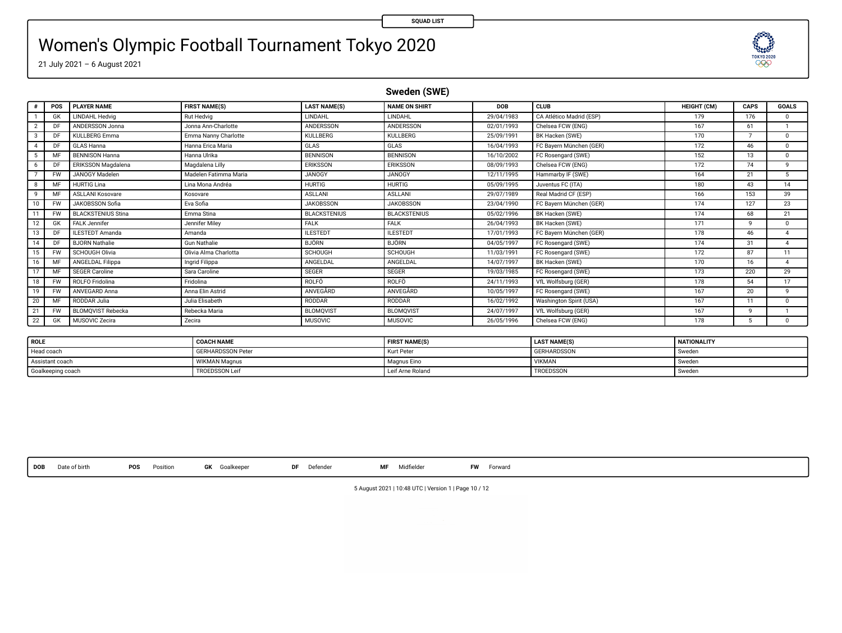# Women's Olympic Football Tournament Tokyo 2020

21 July 2021 – 6 August 2021

**Sweden (SWE)**

| $\epsilon$    | POS       | <b>PLAYER NAME</b>         | <b>FIRST NAME(S)</b>  | <b>LAST NAME(S)</b> | <b>NAME ON SHIRT</b> | DOB        | <b>CLUB</b>              | <b>HEIGHT (CM)</b> | CAPS | <b>GOALS</b>   |
|---------------|-----------|----------------------------|-----------------------|---------------------|----------------------|------------|--------------------------|--------------------|------|----------------|
|               | GK        | LINDAHL Hedvig             | Rut Hedvig            | LINDAHL             | LINDAHL              | 29/04/1983 | CA Atlético Madrid (ESP) | 179                | 176  | $\Omega$       |
|               | DF        | ANDERSSON Jonna            | Jonna Ann-Charlotte   | ANDERSSON           | ANDERSSON            | 02/01/1993 | Chelsea FCW (ENG)        | 167                | 61   |                |
| $\mathcal{R}$ | DE        | <b>KULLBERG Emma</b>       | Emma Nanny Charlotte  | <b>KULLBERG</b>     | KULLBERG             | 25/09/1991 | BK Hacken (SWE)          | 170                |      | $\Omega$       |
|               | DE        | GLAS Hanna                 | Hanna Erica Maria     | GLAS                | GLAS                 | 16/04/1993 | FC Bayern München (GER)  | 172                | 46   | $\Omega$       |
|               | MF        | <b>BENNISON Hanna</b>      | Hanna Ulrika          | <b>BENNISON</b>     | <b>BENNISON</b>      | 16/10/2002 | FC Rosengard (SWE)       | 152                | 13   | $\Omega$       |
|               | DF        | ERIKSSON Magdalena         | Magdalena Lilly       | ERIKSSON            | ERIKSSON             | 08/09/1993 | Chelsea FCW (ENG)        | 172                | 74   | $\mathbf{Q}$   |
|               | FW        | JANOGY Madelen             | Madelen Fatimma Maria | <b>JANOGY</b>       | <b>JANOGY</b>        | 12/11/1995 | Hammarby IF (SWE)        | 164                | 21   | 5.             |
|               | MF        | <b>HURTIG Lina</b>         | Lina Mona Andréa      | <b>HURTIG</b>       | <b>HURTIG</b>        | 05/09/1995 | Juventus FC (ITA)        | 180                | 43   | 14             |
| $\sf q$       | MF        | ASLI ANI Kosovare          | Kosovare              | ASLLANI             | <b>ASLLANI</b>       | 29/07/1989 | Real Madrid CF (ESP)     | 166                | 153  | 39             |
| 10            | <b>FW</b> | JAKOBSSON Sofia            | Eva Sofia             | <b>JAKOBSSON</b>    | <b>JAKOBSSON</b>     | 23/04/1990 | FC Bavern München (GER)  | 174                | 127  | 23             |
| 11            | <b>FW</b> | <b>BLACKSTENILIS Stina</b> | Emma Stina            | <b>BLACKSTENIUS</b> | <b>BLACKSTENIUS</b>  | 05/02/1996 | BK Hacken (SWE)          | 174                | 68   | 21             |
| 12            | GK        | <b>FALK Jennifer</b>       | Jennifer Milev        | <b>FALK</b>         | <b>FALK</b>          | 26/04/1993 | BK Hacken (SWE)          | 171                | ۹    | $\Omega$       |
| 13            | DF        | <b>ILESTEDT Amanda</b>     | Amanda                | <b>ILESTEDT</b>     | <b>ILESTEDT</b>      | 17/01/1993 | FC Bavern München (GER)  | 178                | 46   |                |
| 14            | DE        | <b>RJORN Nathalie</b>      | <b>Gun Nathalie</b>   | BJÖRN               | <b>BJÖRN</b>         | 04/05/1997 | FC Rosengard (SWE)       | 174                | 31   |                |
| 15            | <b>FW</b> | SCHOUGH Olivia             | Olivia Alma Charlotta | <b>SCHOUGH</b>      | SCHOUGH              | 11/03/1991 | FC Rosengard (SWE)       | 172                | 87   | 11             |
| 16            | MF        | ANGELDAL Filippa           | Ingrid Filippa        | ANGELDAL            | ANGELDAL             | 14/07/1997 | BK Hacken (SWE)          | 170                | 16   | $\overline{A}$ |
| 17            | MF        | <b>SEGER Caroline</b>      | Sara Caroline         | SEGER               | SEGER                | 19/03/1985 | FC Rosengard (SWE)       | 173                | 220  | 29             |
| 18            | <b>FW</b> | <b>ROLFO</b> Fridolina     | Fridolina             | ROLFO               | ROLFO                | 24/11/1993 | VfL Wolfsburg (GER)      | 178                | 54   | 17             |
| 19            | <b>FW</b> | ANVEGARD Anna              | Anna Elin Astrid      | ANVEGARD            | ANVEGARD             | 10/05/1997 | FC Rosengard (SWE)       | 167                | 20   | ۰              |
| 20            | MF        | RODDAR Julia               | Julia Elisabeth       | RODDAR              | RODDAR               | 16/02/1992 | Washington Spirit (USA)  | 167                | 11   | $\Omega$       |
| 21            | <b>FW</b> | <b>BLOMOVIST Rebecka</b>   | Rebecka Maria         | <b>BLOMQVIST</b>    | <b>BLOMOVIST</b>     | 24/07/1997 | VfL Wolfsburg (GER)      | 167                | ۰    |                |
| 22            | GK        | MUSOVIC Zecira             | Zecira                | MUSOVIC             | <b>MUSOVIC</b>       | 26/05/1996 | Chelsea FCW (ENG)        | 178                | 5    | $\Omega$       |
|               |           |                            |                       |                     |                      |            |                          |                    |      |                |

| ROLE              | <b>COACH NAME</b>        | <b>FIRST NAME(S)</b> | <b>LAST NAME(S)</b> | NATIONALITY |
|-------------------|--------------------------|----------------------|---------------------|-------------|
| Head coach        | <b>GERHARDSSON Peter</b> | Kurt Pete            | <b>GERHARDSSON</b>  | Sweder      |
| Assistant coach   | "VIKMAN Magnus           | Magnus Eino          | VIKMAN              | Sweden      |
| Goalkeeping coach | TROEDSSON Leit           | Leif Arne Roland     | TROEDSSON           | Sweden      |

**DOB** Date of birth **POS** Position **GK** Goalkeeper **DF** Defender **MF** Midelder **FW** Forward

5 August 2021 | 10:48 UTC | Version 1 | Page 10 / 12

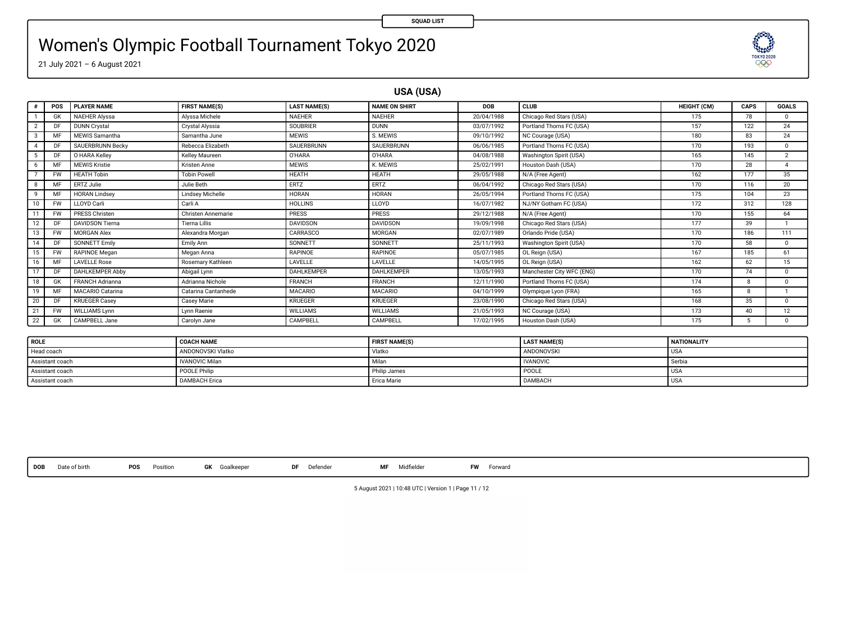# Women's Olympic Football Tournament Tokyo 2020



**USA (USA)**

**SQUAD LIST**

|               | POS       | <b>PLAYER NAME</b>     | <b>FIRST NAME(S)</b> | <b>LAST NAME(S)</b> | <b>NAME ON SHIRT</b> | DOB        | CLUB                      | <b>HEIGHT (CM)</b> | CAPS | <b>GOALS</b>   |
|---------------|-----------|------------------------|----------------------|---------------------|----------------------|------------|---------------------------|--------------------|------|----------------|
|               | GK        | <b>NAEHER Alvssa</b>   | Alyssa Michele       | <b>NAEHER</b>       | NAEHER               | 20/04/1988 | Chicago Red Stars (USA)   | 175                | 78   | n.             |
| 2             | DF        | <b>DUNN Crystal</b>    | Crystal Alyssia      | SOUBRIER            | <b>DUNN</b>          | 03/07/1992 | Portland Thorns FC (USA)  | 157                | 122  | 24             |
| $\mathcal{R}$ | MR        | MEWIS Samantha         | Samantha June        | <b>MEWIS</b>        | S. MEWIS             | 09/10/1992 | NC Courage (USA)          | 180                | 83   | 24             |
|               | DF        | SAUERBRUNN Becky       | Rebecca Elizabeth    | SAUERBRUNN          | SAUERBRUNN           | 06/06/1985 | Portland Thorns FC (USA)  | 170                | 193  | 0              |
|               | DF        | O HARA Kelley          | Kelley Maureen       | <b>O'HARA</b>       | O'HARA               | 04/08/1988 | Washington Spirit (USA)   | 165                | 145  | $\overline{c}$ |
| 6             | M         | <b>MEWIS Kristie</b>   | Kristen Anne         | <b>MEWIS</b>        | K. MEWIS             | 25/02/1991 | Houston Dash (USA)        | 170                | 28   | Δ              |
|               | <b>FW</b> | <b>HEATH Tobin</b>     | <b>Tobin Powell</b>  | HEATH               | <b>HEATH</b>         | 29/05/1988 | N/A (Free Agent)          | 162                | 177  | 35             |
| 8             | MR        | ERTZ Julie             | Julie Beth           | ERTZ                | ERTZ                 | 06/04/1992 | Chicago Red Stars (USA)   | 170                | 116  | 20             |
| $\mathbf{q}$  | MF        | <b>HORAN Lindsey</b>   | Lindsey Michelle     | HORAN               | <b>HORAN</b>         | 26/05/1994 | Portland Thorns FC (USA)  | 175                | 104  | 23             |
| 10            | <b>FW</b> | LLOYD Carli            | Carli A              | <b>HOLLINS</b>      | <b>LLOYD</b>         | 16/07/1982 | NJ/NY Gotham FC (USA)     | 172                | 312  | 128            |
| 11            | <b>FW</b> | <b>PRESS Christen</b>  | Christen Annemarie   | PRESS               | <b>PRESS</b>         | 29/12/1988 | N/A (Free Agent)          | 170                | 155  | 64             |
|               | DF        | <b>DAVIDSON Tierna</b> | <b>Tierna Lillis</b> | DAVIDSON            | <b>DAVIDSON</b>      | 19/09/1998 | Chicago Red Stars (USA)   | 177                | 39   |                |
| 13            | <b>FW</b> | <b>MORGAN Alex</b>     | Alexandra Morgan     | CARRASCO            | MORGAN               | 02/07/1989 | Orlando Pride (USA)       | 170                | 186  | 111            |
| 14            | DF        | SONNETT Emily          | Emily Ann            | SONNETT             | SONNETT              | 25/11/1993 | Washington Spirit (USA)   | 170                | 58   | n.             |
| 15            | <b>FW</b> | RAPINOE Megan          | Megan Anna           | RAPINOE             | <b>RAPINOE</b>       | 05/07/1985 | OL Reign (USA)            | 167                | 185  | 61             |
| 16            | MR        | <b>LAVELLE Rose</b>    | Rosemary Kathleen    | LAVELLE             | LAVELLE              | 14/05/1995 | OL Reign (USA)            | 162                | 62   | 15             |
| 17            | DF        | <b>DAHLKEMPER Abby</b> | Abigail Lynn         | <b>DAHLKEMPER</b>   | <b>DAHLKEMPER</b>    | 13/05/1993 | Manchester City WFC (ENG) | 170                | 74   | n.             |
| 18            | GK        | <b>FRANCH Adrianna</b> | Adrianna Nichole     | FRANCH              | <b>FRANCH</b>        | 12/11/1990 | Portland Thorns FC (USA)  | 174                | 8    | 0              |
| 19            | MR        | MACARIO Catarina       | Catarina Cantanhede  | <b>MACARIO</b>      | <b>MACARIO</b>       | 04/10/1999 | Olympique Lyon (FRA)      | 165                | R    |                |
| 20            | DF        | <b>KRUEGER Casey</b>   | Casey Marie          | <b>KRUEGER</b>      | <b>KRUEGER</b>       | 23/08/1990 | Chicago Red Stars (USA)   | 168                | 35   | 0              |
| 21            | <b>FW</b> | WILLIAMS Lynn          | Lynn Raenie          | <b>WILLIAMS</b>     | <b>WILLIAMS</b>      | 21/05/1993 | NC Courage (USA)          | 173                | 40   | 12             |
| 22            | GK        | CAMPBELL Jane          | Carolyn Jane         | CAMPBELL            | CAMPBELL             | 17/02/1995 | Houston Dash (USA)        | 175                | 5.   | 0              |
|               |           |                        |                      |                     |                      |            |                           |                    |      |                |

| <b>ROLE</b>     | <b>COACH NAME</b>     | <b>FIRST NAME(S)</b> | <b>LAST NAME(S)</b> | <b>NATIONALITY</b> |
|-----------------|-----------------------|----------------------|---------------------|--------------------|
| Head coach      | ANDONOVSKI Vlatko     | Vlatko               | ANDONOVSKI          | <b>USA</b>         |
| Assistant coach | <b>IVANOVIC Milan</b> | Milar                | <b>IVANOVIC</b>     | Serbia             |
| Assistant coach | POOLE Philip          | Philip James         | POOLE               | <b>USA</b>         |
| Assistant coach | DAMBACH Erica         | <b>Erica Marie</b>   | <b>DAMBACH</b>      | <b>USA</b>         |

**DOB** Date of birth **POS** Position **GK** Goalkeeper **DF** Defender **MF** Midelder **FW** Forward

**TESES**  $\infty$ 

5 August 2021 | 10:48 UTC | Version 1 | Page 11 / 12